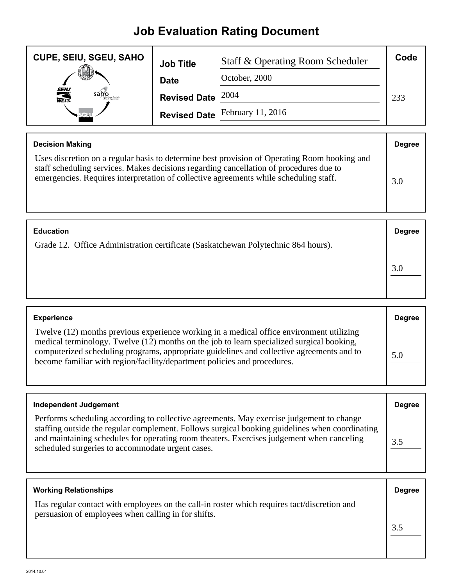## **Job Evaluation Rating Document**

| <b>CUPE, SEIU, SGEU, SAHO</b> | <b>Job Title</b>    | Staff & Operating Room Scheduler | Code |
|-------------------------------|---------------------|----------------------------------|------|
|                               | <b>Date</b>         | October, 2000                    |      |
| <b>SEIU</b><br>WEST-<br>saho  | Revised Date $2004$ |                                  | 233  |
|                               |                     | Revised Date February 11, 2016   |      |

| <b>Decision Making</b>                                                                                                                                                                                                                                                          | <b>Degree</b> |
|---------------------------------------------------------------------------------------------------------------------------------------------------------------------------------------------------------------------------------------------------------------------------------|---------------|
| Uses discretion on a regular basis to determine best provision of Operating Room booking and<br>staff scheduling services. Makes decisions regarding cancellation of procedures due to<br>emergencies. Requires interpretation of collective agreements while scheduling staff. | 3.0           |

| <b>Education</b>                                                                  | <b>Degree</b> |
|-----------------------------------------------------------------------------------|---------------|
| Grade 12. Office Administration certificate (Saskatchewan Polytechnic 864 hours). |               |
|                                                                                   | 3.0           |

| <b>Experience</b>                                                                                                                                                                                                                                                                                                                                              | <b>Degree</b> |
|----------------------------------------------------------------------------------------------------------------------------------------------------------------------------------------------------------------------------------------------------------------------------------------------------------------------------------------------------------------|---------------|
| Twelve (12) months previous experience working in a medical office environment utilizing<br>medical terminology. Twelve (12) months on the job to learn specialized surgical booking,<br>computerized scheduling programs, appropriate guidelines and collective agreements and to<br>become familiar with region/facility/department policies and procedures. | 5.0           |

| <b>Independent Judgement</b>                                                                                                                                                                                                                                                                                                                | <b>Degree</b> |
|---------------------------------------------------------------------------------------------------------------------------------------------------------------------------------------------------------------------------------------------------------------------------------------------------------------------------------------------|---------------|
| Performs scheduling according to collective agreements. May exercise judgement to change<br>staffing outside the regular complement. Follows surgical booking guidelines when coordinating<br>and maintaining schedules for operating room theaters. Exercises judgement when canceling<br>scheduled surgeries to accommodate urgent cases. | 3.5           |

| <b>Working Relationships</b>                                                                                                                       | <b>Degree</b> |
|----------------------------------------------------------------------------------------------------------------------------------------------------|---------------|
| Has regular contact with employees on the call-in roster which requires tact/discretion and<br>persuasion of employees when calling in for shifts. |               |
|                                                                                                                                                    | 3.5           |